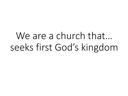We are a church that... seeks first God's kingdom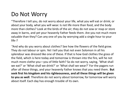#### Do Not Worry

"Therefore I tell you, do not worry about your life, what you will eat or drink; or about your body, what you will wear. Is not life more than food, and the body more than clothes? Look at the birds of the air; they do not sow or reap or store away in barns, and yet your heavenly Father feeds them. Are you not much more valuable than they? Can any one of you by worrying add a single hour to your  $life$ [e]?

"And why do you worry about clothes? See how the flowers of the field grow. They do not labour or spin. Yet I tell you that not even Solomon in all his splendour was dressed like one of these. If that is how God clothes the grass of the field, which is here today and tomorrow is thrown into the fire, will he not much more clothe you—you of little faith? So do not worry, saying, 'What shall we eat?' or 'What shall we drink?' or 'What shall we wear?' For the pagans run after all these things, and your heavenly Father knows that you need them. **But seek first his kingdom and his righteousness, and all these things will be given to you as well**. Therefore do not worry about tomorrow, for tomorrow will worry about itself. Each day has enough trouble of its own.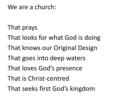#### We are a church:

- That prays
- That looks for what God is doing
- That knows our Original Design
- That goes into deep waters
- That loves God's presence
- That is Christ-centred
- That seeks first God's kingdom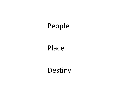### People

#### Place

## Destiny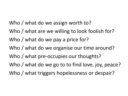Who / what do we assign worth to? Who / what are we willing to look foolish for? Who / what do we pay a price for? Who / what do we organise our time around? Who / what pre-occupies our thoughts? Who / what do we go to to find love, joy, peace? Who / what triggers hopelessness or despair?